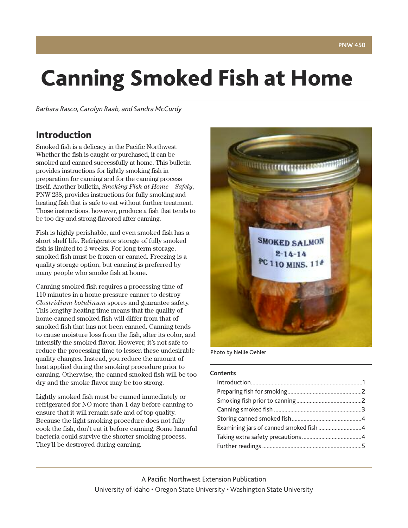# **Canning Smoked Fish at Home**

*Barbara Rasco,Carolyn Raab, and Sandra McCurdy*

## **Introduction**

Smoked fish is a delicacy in the Pacific Northwest. Whether the fish is caught or purchased, it can be smoked and canned successfully at home. This bulletin provides instructions for lightly smoking fish in preparation for canning and for the canning process itself. Another bulletin, *Smoking Fish at Home—Safely*, PNW 238, provides instructions for fully smoking and heating fish that is safe to eat without further treatment. Those instructions, however, produce a fish that tends to be too dry and strong-flavored after canning.

Fish is highly perishable, and even smoked fish has a short shelf life. Refrigerator storage of fully smoked fish is limited to 2 weeks. For long-term storage, smoked fish must be frozen or canned. Freezing is a quality storage option, but canning is preferred by many people who smoke fish at home.

Canning smoked fish requires a processing time of 110 minutes in a home pressure canner to destroy *Clostridium botulinum* spores and guarantee safety. This lengthy heating time means that the quality of home-canned smoked fish will differ from that of smoked fish that has not been canned. Canning tends to cause moisture loss from the fish, alter its color, and intensify the smoked flavor. However, it's not safe to reduce the processing time to lessen these undesirable quality changes. Instead, you reduce the amount of heat applied during the smoking procedure prior to canning. Otherwise, the canned smoked fish will be too dry and the smoke flavor may be too strong.

Lightly smoked fish must be canned immediately or refrigerated for NO more than 1 day before canning to ensure that it will remain safe and of top quality. Because the light smoking procedure does not fully cook the fish, don't eat it before canning. Some harmful bacteria could survive the shorter smoking process. They'll be destroyed during canning.



Photo by Nellie Oehler

#### **Contents**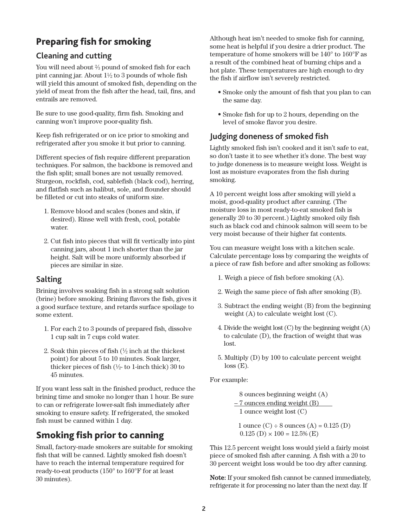# <span id="page-1-0"></span>**Preparing fish for smoking**

#### **Cleaning and cutting**

You will need about  $\frac{2}{3}$  pound of smoked fish for each pint canning jar. About  $1\frac{1}{2}$  to 3 pounds of whole fish will yield this amount of smoked fish, depending on the yield of meat from the fish after the head, tail, fins, and entrails are removed.

Be sure to use good-quality, firm fish. Smoking and canning won't improve poor-quality fish.

Keep fish refrigerated or on ice prior to smoking and refrigerated after you smoke it but prior to canning.

Different species of fish require different preparation techniques. For salmon, the backbone is removed and the fish split; small bones are not usually removed. Sturgeon, rockfish, cod, sablefish (black cod), herring, and flatfish such as halibut, sole, and flounder should be filleted or cut into steaks of uniform size.

- 1. Remove blood and scales (bones and skin, if desired). Rinse well with fresh, cool, potable water.
- 2. Cut fish into pieces that will fit vertically into pint canning jars, about 1 inch shorter than the jar height. Salt will be more uniformly absorbed if pieces are similar in size.

#### **Salting**

Brining involves soaking fish in a strong salt solution (brine) before smoking. Brining flavors the fish, gives it a good surface texture, and retards surface spoilage to some extent.

- 1. For each 2 to 3 pounds of prepared fish, dissolve 1 cup salt in 7 cups cold water.
- 2. Soak thin pieces of fish  $(\frac{1}{2})$  inch at the thickest point) for about 5 to 10 minutes. Soak larger, thicker pieces of fish  $(\frac{1}{2})$ - to 1-inch thick) 30 to 45 minutes.

If you want less salt in the finished product, reduce the brining time and smoke no longer than 1 hour. Be sure to can or refrigerate lower-salt fish immediately after smoking to ensure safety. If refrigerated, the smoked fish must be canned within 1 day.

## **Smoking fish prior to canning**

Small, factory-made smokers are suitable for smoking fish that will be canned. Lightly smoked fish doesn't have to reach the internal temperature required for ready-to-eat products (150° to 160°F for at least 30 minutes).

Although heat isn't needed to smoke fish for canning, some heat is helpful if you desire a drier product. The temperature of home smokers will be 140° to 160°F as a result of the combined heat of burning chips and a hot plate. These temperatures are high enough to dry the fish if airflow isn't severely restricted.

- Smoke only the amount of fish that you plan to can the same day.
- Smoke fish for up to 2 hours, depending on the level of smoke flavor you desire.

## **Judging doneness of smoked fish**

Lightly smoked fish isn't cooked and it isn't safe to eat, so don't taste it to see whether it's done. The best way to judge doneness is to measure weight loss. Weight is lost as moisture evaporates from the fish during smoking.

A 10 percent weight loss after smoking will yield a moist, good-quality product after canning. (The moisture loss in most ready-to-eat smoked fish is generally 20 to 30 percent.) Lightly smoked oily fish such as black cod and chinook salmon will seem to be very moist because of their higher fat contents.

You can measure weight loss with a kitchen scale. Calculate percentage loss by comparing the weights of a piece of raw fish before and after smoking as follows:

- 1. Weigh a piece of fish before smoking (A).
- 2. Weigh the same piece of fish after smoking (B).
- 3. Subtract the ending weight (B) from the beginning weight (A) to calculate weight lost (C).
- 4. Divide the weight lost  $(C)$  by the beginning weight  $(A)$ to calculate (D), the fraction of weight that was lost.
- 5. Multiply (D) by 100 to calculate percent weight  $loss(E)$ .

For example:

 8 ounces beginning weight (A)  $-7$  ounces ending weight  $(B)$ 1 ounce weight lost (C)

1 ounce  $(C) \div 8$  ounces  $(A) = 0.125$   $(D)$  $0.125$  (D)  $\times$  100 = 12.5% (E)

This 12.5 percent weight loss would yield a fairly moist piece of smoked fish after canning. A fish with a 20 to 30 percent weight loss would be too dry after canning.

Note: If your smoked fish cannot be canned immediately, refrigerate it for processing no later than the next day. If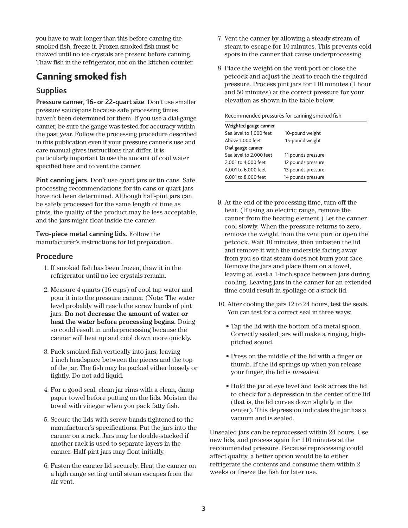<span id="page-2-0"></span>you have to wait longer than this before canning the smoked fish, freeze it. Frozen smoked fish must be thawed until no ice crystals are present before canning. Thaw fish in the refrigerator, not on the kitchen counter.

## **Canning smoked fish**

## **Supplies**

**Pressure canner, 16- or 22-quart size**. Don't use smaller pressure saucepans because safe processing times haven't been determined for them. If you use a dial-gauge canner, be sure the gauge was tested for accuracy within the past year. Follow the processing procedure described in this publication even if your pressure canner's use and care manual gives instructions that differ. It is particularly important to use the amount of cool water specified here and to vent the canner.

**Pint canning jars.** Don't use quart jars or tin cans. Safe processing recommendations for tin cans or quart jars have not been determined. Although half-pint jars can be safely processed for the same length of time as pints, the quality of the product may be less acceptable, and the jars might float inside the canner.

**Two-piece metal canning lids.** Follow the manufacturer's instructions for lid preparation.

#### **Procedure**

- 1. If smoked fish has been frozen, thaw it in the refrigerator until no ice crystals remain.
- 2. Measure 4 quarts (16 cups) of cool tap water and pour it into the pressure canner. (Note: The water level probably will reach the screw bands of pint jars. Do not decrease the amount of water or heat the water before processing begins. Doing so could result in underprocessing because the canner will heat up and cool down more quickly.
- 3. Pack smoked fish vertically into jars, leaving 1 inch headspace between the pieces and the top of the jar. The fish may be packed either loosely or tightly. Do not add liquid.
- 4. For a good seal, clean jar rims with a clean, damp paper towel before putting on the lids. Moisten the towel with vinegar when you pack fatty fish.
- 5. Secure the lids with screw bands tightened to the manufacturer's specifications. Put the jars into the canner on a rack. Jars may be double-stacked if another rack is used to separate layers in the canner. Half-pint jars may float initially.
- 6. Fasten the canner lid securely. Heat the canner on a high range setting until steam escapes from the air vent.
- 7. Vent the canner by allowing a steady stream of steam to escape for 10 minutes. This prevents cold spots in the canner that cause underprocessing.
- 8. Place the weight on the vent port or close the petcock and adjust the heat to reach the required pressure. Process pint jars for 110 minutes (1 hour and 50 minutes) at the correct pressure for your elevation as shown in the table below.

Recommended pressures for canning smoked fish

| Weighted gauge canner   |                    |  |
|-------------------------|--------------------|--|
| Sea level to 1,000 feet | 10-pound weight    |  |
| Above 1,000 feet        | 15-pound weight    |  |
| Dial gauge canner       |                    |  |
| Sea level to 2,000 feet | 11 pounds pressure |  |
| 2,001 to 4,000 feet     | 12 pounds pressure |  |
| 4,001 to 6,000 feet     | 13 pounds pressure |  |
| 6,001 to 8,000 feet     | 14 pounds pressure |  |

- 9. At the end of the processing time, turn off the heat. (If using an electric range, remove the canner from the heating element.) Let the canner cool slowly. When the pressure returns to zero, remove the weight from the vent port or open the petcock. Wait 10 minutes, then unfasten the lid and remove it with the underside facing away from you so that steam does not burn your face. Remove the jars and place them on a towel, leaving at least a 1-inch space between jars during cooling. Leaving jars in the canner for an extended time could result in spoilage or a stuck lid.
- 10. After cooling the jars 12 to 24 hours, test the seals. You can test for a correct seal in three ways:
	- Tap the lid with the bottom of a metal spoon. Correctly sealed jars will make a ringing, highpitched sound.
	- Press on the middle of the lid with a finger or thumb. If the lid springs up when you release your finger, the lid is unsealed.
	- Hold the jar at eye level and look across the lid to check for a depression in the center of the lid (that is, the lid curves down slightly in the center). This depression indicates the jar has a vacuum and is sealed.

Unsealed jars can be reprocessed within 24 hours. Use new lids, and process again for 110 minutes at the recommended pressure. Because reprocessing could affect quality, a better option would be to either refrigerate the contents and consume them within 2 weeks or freeze the fish for later use.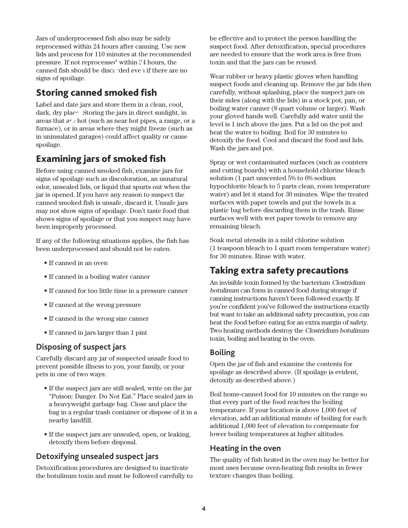<span id="page-3-0"></span>Jars of underprocessed fish also may be safely reprocessed within 24 hours after canning. Use new lids and process for 110 minutes at the recommended pressure. If not reprocessed within 24 hours, the canned fish should be discarded even if there are no signs of spoilage.

# **Storing canned smoked fish**

Label and date jars and store them in a clean, cool, dark, dry place. Storing the jars in direct sunlight, in areas that  $a^r$ : hot (such as near hot pipes, a range, or a furnace), or in areas where they might freeze (such as in uninsulated garages) could affect quality or cause spoilage.

# **Examining jars of smoked fish**

Before using canned smoked fish, examine jars for signs of spoilage such as discoloration, an unnatural odor, unsealed lids, or liquid that spurts out when the jar is opened. If you have any reason to suspect the canned smoked fish is unsafe, discard it. Unsafe jars may not show signs of spoilage. Don't taste food that shows signs of spoilage or that you suspect may have been improperly processed.

If any of the following situations applies, the fish has been underprocessed and should not be eaten.

- If canned in an oven
- If canned in a boiling water canner
- If canned for too little time in a pressure canner
- If canned at the wrong pressure
- If canned in the wrong size canner
- If canned in jars larger than 1 pint

### **Disposing of suspect jars**

Carefully discard any jar of suspected unsafe food to prevent possible illness to you, your family, or your pets in one of two ways:

- If the suspect jars are still sealed, write on the jar "Poison: Danger. Do Not Eat." Place sealed jars in a heavyweight garbage bag. Close and place the bag in a regular trash container or dispose of it in a nearby landfill.
- If the suspect jars are unsealed, open, or leaking, detoxify them before disposal.

## **Detoxifying unsealed suspect jars**

Detoxification procedures are designed to inactivate the botulinum toxin and must be followed carefully to be effective and to protect the person handling the suspect food. After detoxification, special procedures are needed to ensure that the work area is free from toxin and that the jars can be reused.

Wear rubber or heavy plastic gloves when handling suspect foods and cleaning up. Remove the jar lids then carefully, without splashing, place the suspect jars on their sides (along with the lids) in a stock pot, pan, or boiling water canner (8 quart volume or larger). Wash your gloved hands well. Carefully add water until the level is 1 inch above the jars. Put a lid on the pot and heat the water to boiling. Boil for 30 minutes to detoxify the food. Cool and discard the food and lids. Wash the jars and pot.

Spray or wet contaminated surfaces (such as counters and cutting boards) with a household chlorine bleach solution (1 part unscented 5% to 6% sodium hypochlorite bleach to 5 parts clean, room temperature water) and let it stand for 30 minutes. Wipe the treated surfaces with paper towels and put the towels in a plastic bag before discarding them in the trash. Rinse surfaces well with wet paper towels to remove any remaining bleach.

Soak metal utensils in a mild chlorine solution (1 teaspoon bleach to 1 quart room temperature water) for 30 minutes. Rinse with water.

## **Taking extra safety precautions**

An invisible toxin formed by the bacterium Clostridium botulinum can form in canned food during storage if canning instructions haven't been followed exactly. If you're confident you've followed the instructions exactly but want to take an additional safety precaution, you can heat the food before eating for an extra margin of safety. Two heating methods destroy the Clostridium botulinum toxin, boiling and heating in the oven.

### **Boiling**

Open the jar of fish and examine the contents for spoilage as described above. (If spoilage is evident, detoxify as described above.)

Boil home-canned food for 10 minutes on the range so that every part of the food reaches the boiling temperature. If your location is above 1,000 feet of elevation, add an additional minute of boiling for each additional 1,000 feet of elevation to compensate for lower boiling temperatures at higher altitudes.

### **Heating in the oven**

The quality of fish heated in the oven may be better for most uses because oven-heating fish results in fewer texture changes than boiling.